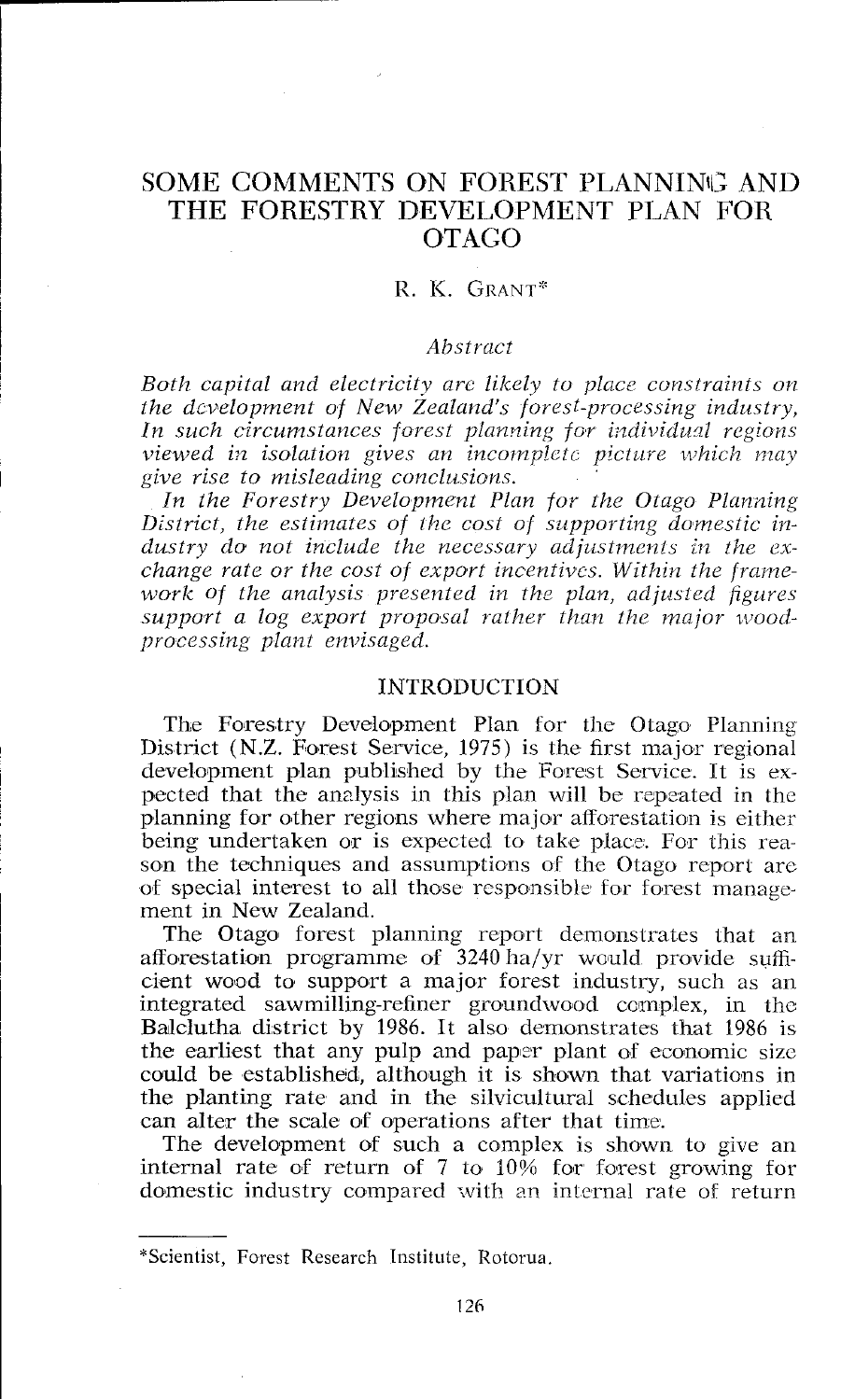# SOME COMMENTS ON FOREST PLANNING AND THE FORESTRY DEVELOPMENT PLAN FOR OTAGO

## R. K. GRANT\*

# *Abstract*

*Both capital and electricity arc likely to plncc constraints on the dcuelopment of New Zealand's forest-processing industry,*  In such circumstances forest planning for individual regions *viewed in isolation gives an incomplete picture which may give rise to misleading conclusions.* 

*In the Forestry Development Plan for the Otugo Planning District, the esliinates of the cosl of supporting domestic industry do not include the necessary adjustments* **in** *the exchange rate or the cost of export incentives. Within the framework* of the analysis presented in the plan, adjusted figures support a log export proposal rather than the major wood*processing plant envisaged.* 

#### INTRODUCTION

The Forestry Development Plan for the Otago Planning District (N.Z. Forest Service, 1975) is the first major regional development plan published by the Forest Service. It is expected that the analysis in this plan will be repeated in the planning for other regions where major afforestation is either being undertaken or is expected to take place. For this reason the techniques and assumptions of the Otago report are of special interest to all those responsible for forest manage ment in New Zealand.

The Otago forest planning report demonstrates that an afforestation programme of 3240 ha/yr would provide sufficient wood to support a major forest industry, such as an integrated sawmilling-refiner groundwood ccrnplex, in the Balclutha district by 1986. It also demonstrates that 1986 is the earliest that any pulp and paper plant of economic size could be established, although it is shown that variations in the planting rate and in the silvicultural schedules applied can alter the scale of operations after that time.

The development of such a complex is shown to give an internal rate of return of 7 to  $10\%$  for forest growing for domestic industry compared with an internal rate of return

<sup>&</sup>quot;Scientist, Forest Research Institute, Rotorua.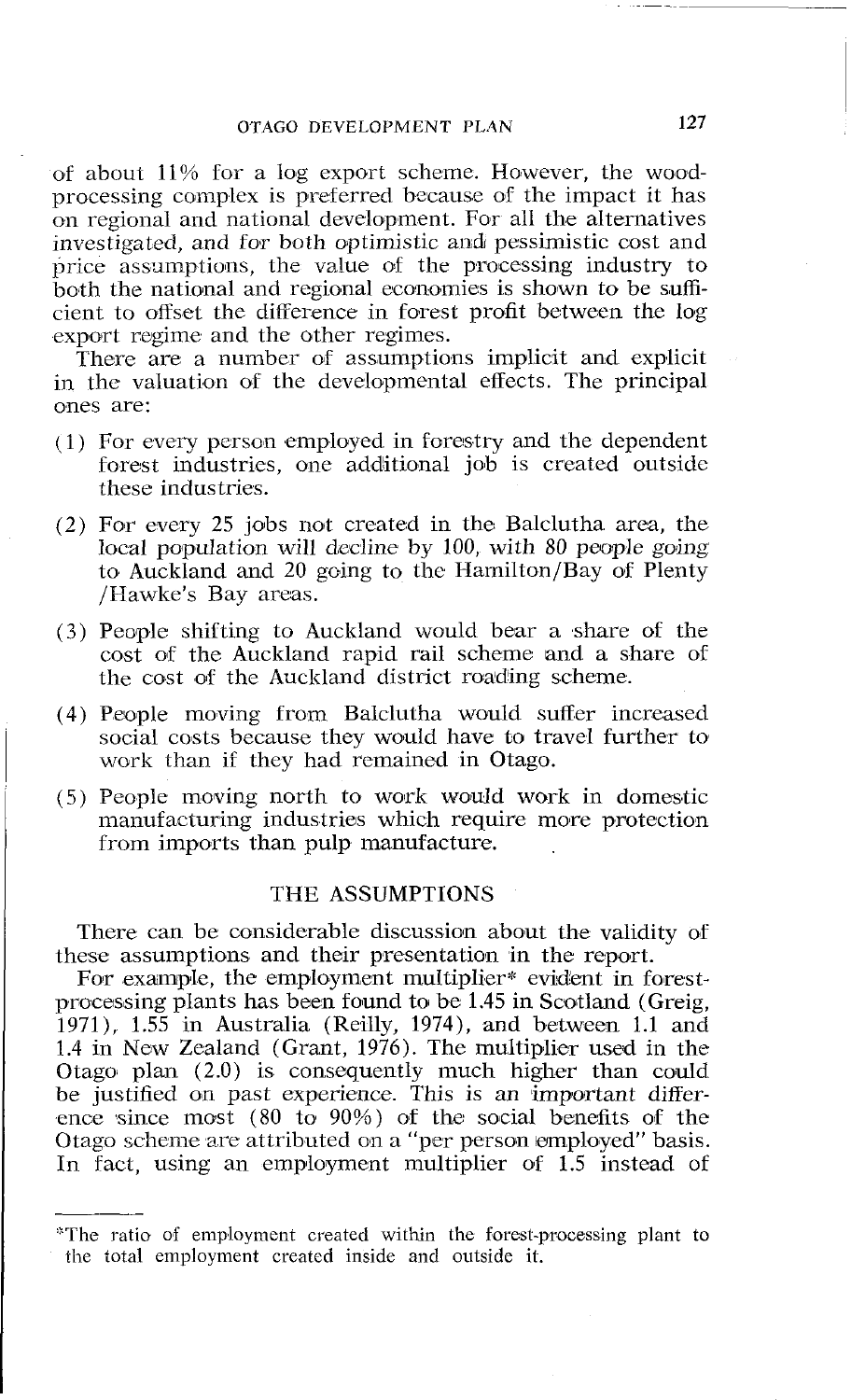of about 11% for a log export scheme. However, the woodprocessing complex is preferred because of the impact it has on regional and national development. For all the alternatives investigated, and for both optimistic and pessimistic cost and price assumptions, the value of the processing industry to both the national and regional economies is shown to be sufficient to offset the difference in forest profit between thc log export regime and the other regimes.

There are a number of assumptions implicit and explicit in the valuation of the developmental effects. The principal ones are:

- $(1)$  For every person employed in forestry and the dependent forest industries, one additional job is created outside these industries.
- $(2)$  For every 25 jobs not created in the Balclutha area, the local population will decline by 100, with 80 people going to Auckland and 20 going to the Hamilton/Bay of Plenty /Hawke's Bay areas.
- (3) People shifting to Auckland would bear a share of the cost of the Auckland rapid rail scheme and a share of the cost of the Auckland district roading scheme.
- (4) People moving from Balclutha would suffer increased social costs because they would have to travel further to work than if they had remained in Otago.
- $(5)$  People moving north to work would work in domestic manufacturing industries which require more protection from imports than pulp manufacture.

#### THE ASSUMPTIONS

There can be considerable discussion about the validity of these assumptions and their presentation in the report.

For example, the employment multiplier\* evident in forestprocessing plants has been found to be 1.45 in Scotland (Greig, 1971), 1.55 in Australia (Reilly, 1974), and between 1.1 and 1.4 in New Zealand (Grant,  $1976$ ). The multiplier used in the Otago plan (2.0) is consequently much higher than could be justified on past experience. This is an important difference since most  $(80 \text{ to } 90\%)$  of the social benefits of the Otago scheme are attributed on a "per person employed" basis. In fact, using an employment multiplier of  $1.5$  instead of

<sup>&</sup>quot;The ratio of employment created within the forest-processing plant to the total employment created inside and outside it.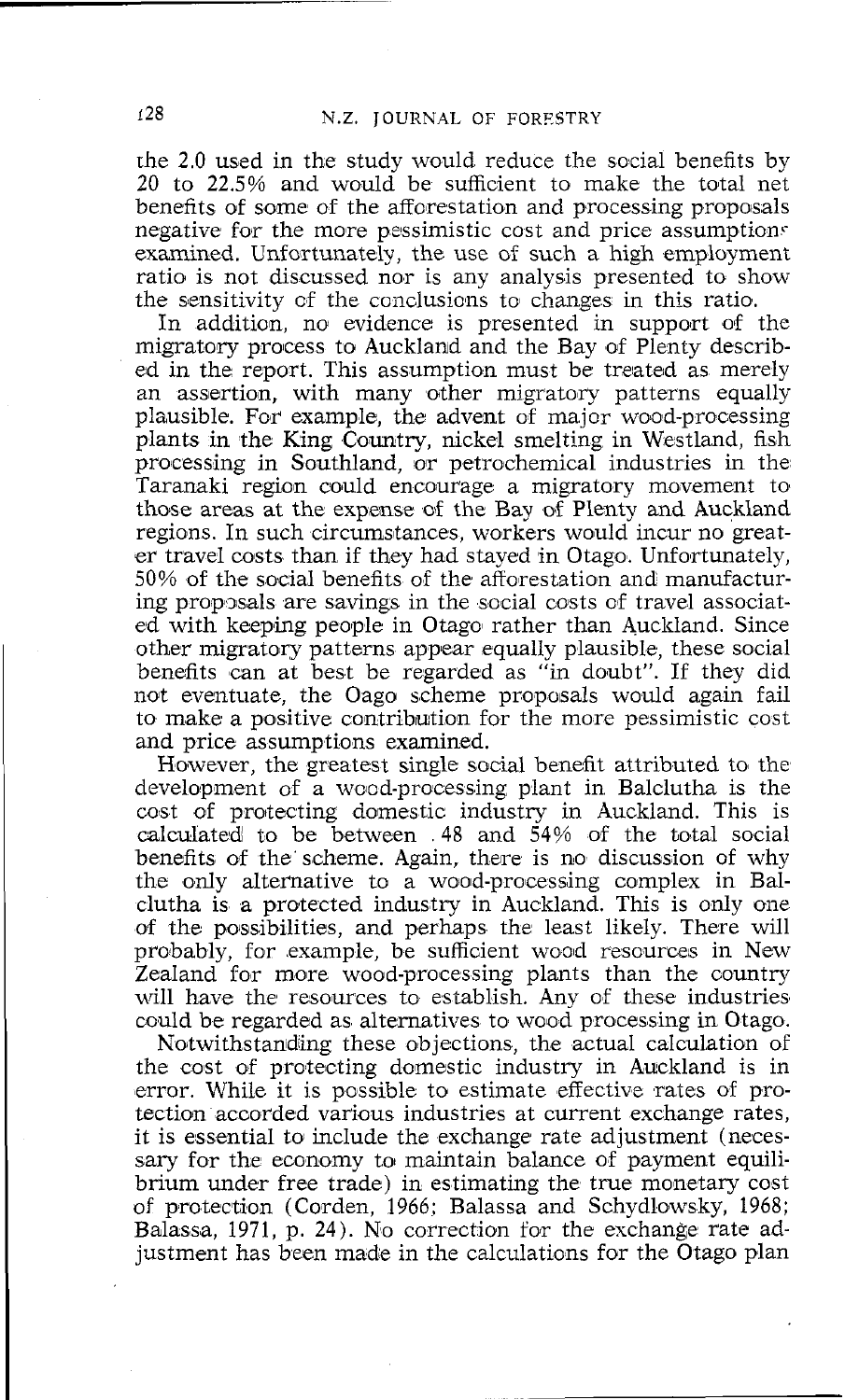the 2.0 used in the study would reduce the social benefits by 20 to 22.5% and would be sufficient to make the total net benefits of some of the afforestation and processing proposals negative for the more pessimistic cost and price assumptions examined. Unfortunately, the use of such a high employment ratio is not discussed nor is any analysis presented to show the sensitivity cf the conclusions to changes in this ratio.

In addition, no evidence is presented in support of the migratory process to Auckland and the Bay of Plenty described in the report. This assumption must be treated as merely an assertion, with many other migratory patterns equally plausible. For example, the advent of major wood-processing plants in the King Country, nickel smelting in Westland, fish processing in Southland, or petrochemical industries in the Taranaki region could encourage a migratory movement to those areas at the expense of the Bay of Plenty and Auckland regions. In such circumstances, workers would incur no greater travel costs than if they had stayed in Otago. Unfortunately, 50% of the social benefits of the afforestation and manufacturing proposals are savings in the social costs of travel associated with keeping people in Otago rather than Auckland. Since other migratory patterns appear equally plausible, these social benefits can at best be regarded as "in doubt". If they did not eventuate, the Oago scheme proposals would again fail to make a positive contribution for the more pessimistic cost and price assumptions examined.

However, the greatest single social benefit attributed to the development of a wood-processing plant in Balclutha is the cost of protecting domestic industry in Auckland. This is calculated to be between  $.48$  and  $\frac{54}{6}$  of the total social benefits of the scheme. Again, there is no discussion of why the only alternative to a wood-processing complex in Balclutha is a proftected industry in Auckland. This is only one of the possibilities, and perhaps the least likely. There will probably, for example, be sufficient wood resources in New Zealand for more wood-processing plants than the country will have the resources to establish. Any of these industries could be regarded as alternatives to wood processing in Otago.

Notwithstanding these objections, the actual calculation of the cost of protecting domestic industry in Auckland is in error. While it is possible to estimate effective rates of protection accorded various industries at current exchange rates, it is essential to include the exchange rate adjustment (necessary for the economy to maintain balance of payment equilibrium under free trade) in estimating the true monetary cost of protection (Corden, 1966: Balassa and Schydlowsky, 1968; Balassa, 1971, p. 24). No correction for the exchange rate adjustment has been made in the calculations for the Otago plan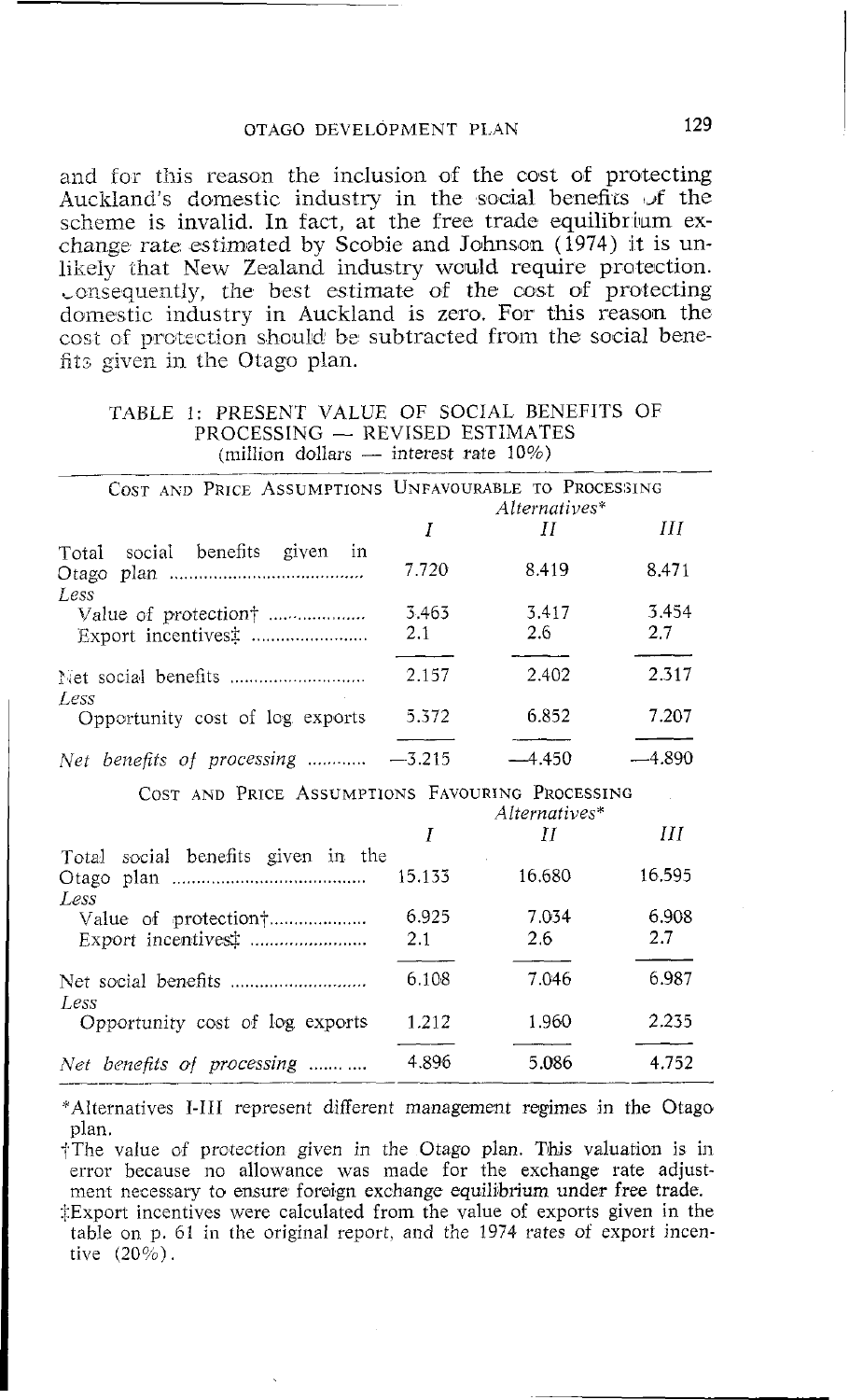# OTAGO DEVELOPMENT PLAN 129

and for this reason the inclusion of the cost of protecting Auckland's domestic industry in the social benefits of the scheme is invalid. In fact, at the free trade equilibrium exchange rate estimated by Scobie and Johnson (1974) it is unlikely that New Zealand industry would require pmtection. consequently, the best estimate of the cost of protecting domestic industry in Auckland is zero. For this reason the cost of protection should be subtracted from the social benefits given in the Otago plan.

# TABLE 1: PRESENT VALUE OF SOCIAL BENEFITS OF PRESENT VALUE OF SOCIAL BENE<br>PROCESSING -- REVISED ESTIMATES<br>(million dollars) interest rate 10%)  $PROCESSING - REVIEW$  ESTIMATES<br>(million dollars -- interest rate 10%)

|                                                 | COST AND PRICE ASSUMPTIONS UNFAVOURABLE TO PROCESSING<br>Alternatives* |                    |              |
|-------------------------------------------------|------------------------------------------------------------------------|--------------------|--------------|
|                                                 | Ι                                                                      | Н                  | Ш            |
| Total social benefits given in<br>Less          | 7.720                                                                  | 8.419              | 8.471        |
|                                                 | 3.463<br>2.1                                                           | 3.417<br>2.6       | 3.454<br>2.7 |
| Less                                            | 2.157                                                                  | 2.402              | 2.317        |
| Opportunity cost of log exports                 | 5.372                                                                  | 6.852              | 7.207        |
| Net benefits of processing $-3.215$             |                                                                        | $-4.450$           | -4.890       |
| COST AND PRICE ASSUMPTIONS FAVOURING PROCESSING |                                                                        |                    |              |
|                                                 | I                                                                      | Alternatives*<br>Ħ | Ш            |
| Total social benefits given in the<br>Less      | 15.133                                                                 | 16.680             | 16.595       |
| Value of protection†                            | 6.925<br>2.1                                                           | 7.034<br>2.6       | 6.908<br>2.7 |
| Less                                            | 6.108                                                                  | 7.046              | 6.987        |
| Opportunity cost of log exports                 | 1.212                                                                  | 1.960              | 2.235        |

FAlternatives 1-111 represent different management regimes in the Otago plan.

*Net benefits of processing* ........... 4.896 5 .086 4.752

†The value of protection given in the Otago plan. This valuation is in error because no allowance was made for the exchange rate adjustment necessary to ensure foreign exchange equilibrium under free trade.

:!Export incentives were calculated from the value of exports given in the table on p. 61 in the original report, and the 1974 rates of export incentive  $(20\%)$ .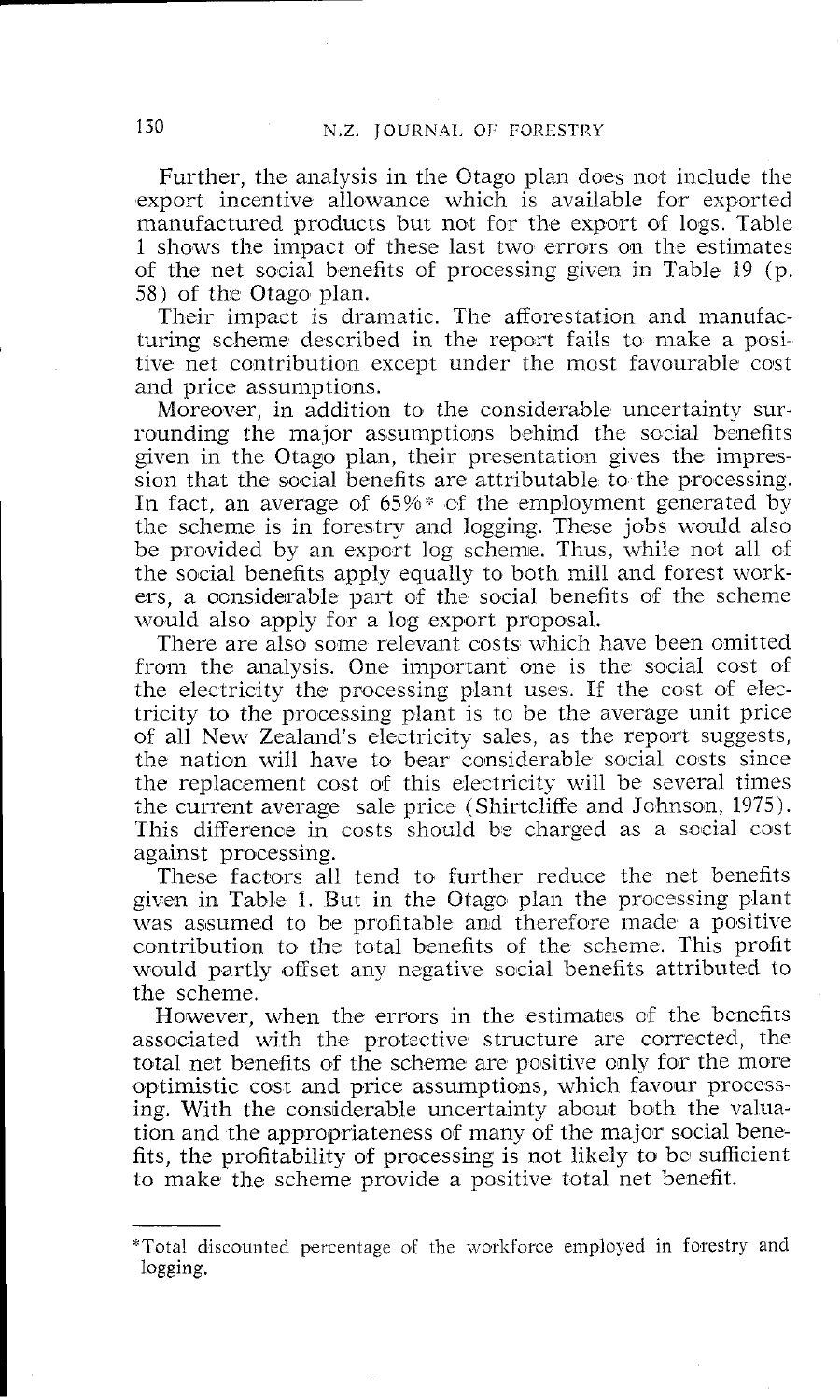Further, the analysis in the Otago plam does not include the export incentive allowance which is available for exported manufactured products but not for the export of logs. Table 1 shows the impact of these last two errors on the estimates of the net social benefits of processing given in Table 19 (p. 58) of the Otago plan.

Their impact is dramatic. The afforestation and manufacturing scheme described in the report fails to make a positive net contribution except under the most favourable cost and price assumptions.

Moreover, in addition to the considerable uncertainty surrounding the malor assumptions behind the social benefits given in the Otago plan, their presentation gives the impression that the social benefits are attributable to the processing. In fact, an average of 65%\* of the employment generated by the scheme is in forestry and logging. These jobs would also be provided by an export log scheme. Thus, while not all of the social benefits apply equally to both mill and forest workers, a considerable part of the social benefits of the scheme would also apply for a log export proposal.

There are also some relevant costs which have been omitted from the analysis. One important one is the social cost of the electricity the processing plant uses. If the cost of electricity to the processmg plant is to be the average unit price of all New Zealand's electricity sales, as the report suggests, the nation will have to bear considerable social costs since the replacement cost of this electricity will be several times the current average sale price (Shirtcliffe and Johnson, 1975). 'This difference in costs should be charged as a social cost against processing.

These factors all tend to further reduce the net benefits given in Table I. But in the Otago plan the processing plant was assumed to be profitable and therefore made a positive contribution to the total benefits of the scheme. This profit would partly offset any negative social benefits attributed to the scheme.

However, when the errors in the estimates af the benefits associated with the protective structure are corrected, the total net benefits of the scheme are positive only for the more optimistic cost and price assumptions, which favour processing. With the consliderable uncertainty about both the valuation and the appropriateness of many of the major social benefits, the profitability of processing is not likely to be sufficient to make the scheme provide a positive total net benefit.

<sup>\*</sup>Total discounted percentage of the workforce employed in forestry and logging.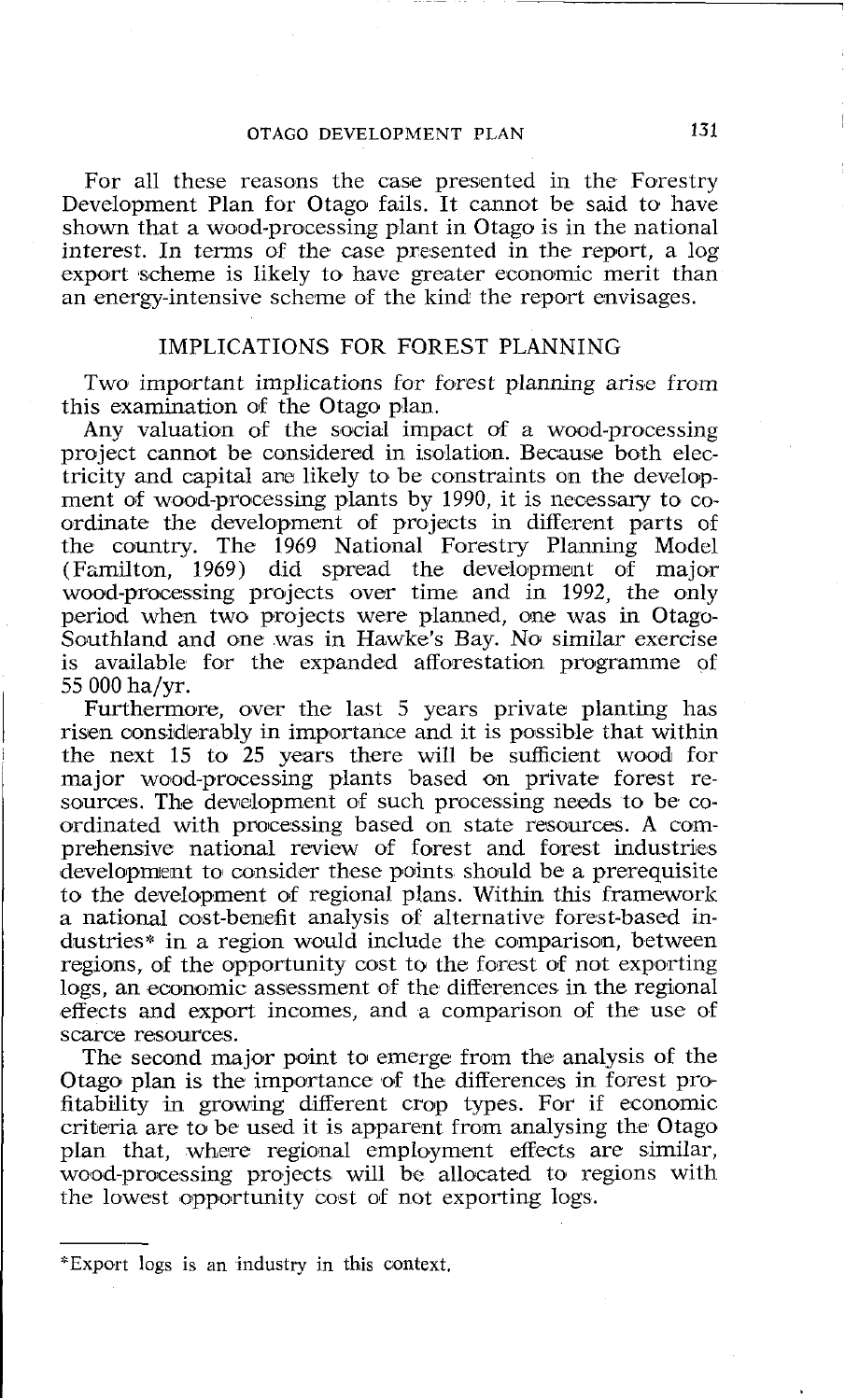## *OTAGO DEVELOPMENT PLAN* **131**

For all these reasons the case presented in the Forestry Development Plan for Otago fails. It cannot be said to have shown that a wood-processing plant in Otago is in the national interest. In terms OF the case presented in the report, a log export scheme is likely to have greater economic merit than an energy-intensive scheme of the kind the report envisages.

## IMPLICATIONS FOR FOREST PLANNING

Two important implications for forest planning arise from this examination of the Otago plan.

Any valuation of the social impact of a wood-processing project cannot be considered in isolation. Because both electricity and capital are likely to be constraints on the development of wood-processing plants by 1990, it is necessary to coordinate the development of projects in different parts of the country. The 1969 National Forestry Planning Model (Familton, 1969) did spread the development of major wood-processing projects over time and in 1992, the only period when two projects were planned, one was in Otago-Southland and one was in Hawke's Bay. No similar exercise is available for the expanded afforestation programme of 55 000 ha/yr.

Furthermore, over the last 5 years private planting has risen considerably in importance and it is possible that within the next 15 to 25 years there will be sufficient woad for major wood-processing plants based on private forest resources. The development of such processing needs to be coordinated with processing based on state resources. A comprehensive national review of forest and forest industries development to consider these points should be a prerequisite to the development of regional plans. Within this framework a national oost-benefit analysis of alternative forest-based industries\* in a region would include the comparison, between regions, of the opportunity cost to the forest of not exporting logs, an economic assessment of the differences in the regional effects and export incomes, and a comparison of the use of scarce resources.

The second major point to emerge from the analysis of the Otago plan is the importance of the differences in forest profitability in growing different crop types. For if economic criteria are to be used it is apparent from analysing the Otago plan that, where regional employment effects are similar, wood-processing projects will be allocated to regions with the lowest opportunity cost of not exporting logs.

*<sup>&</sup>quot;Export* logs is an industry in *this context.*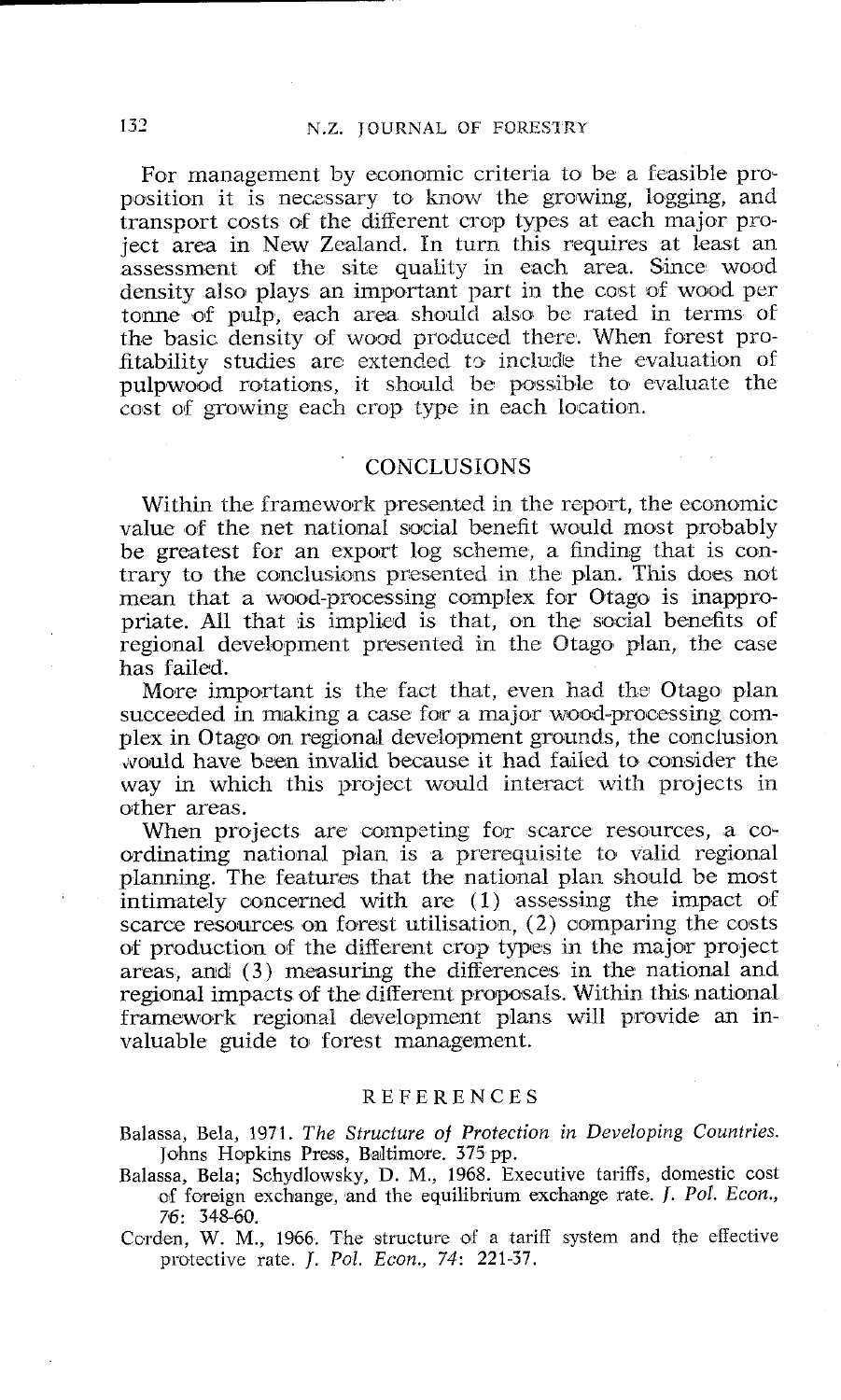For management by economic criteria to be a feasible proposition it is necessary to know the growing, logging, and transport costs of the different crop types at each major project area in New Zcaland. In turn this requires at least an assessment of the site quality in each area. Since wood density also plays an important part in the cost of wood per tonne of pulp, each area should also be rated in terms of the basic density of wood produced there. When forest profitability studies arc extended to include the evaluation of pulpwood rotations, it should be possible to evaluate the cost of growing each crop type in each location.

## **CONCLUSIONS**

Within the framework presented in the report, the economic value of the net national social benefit would most probably be greatest for an export log scheme, a finding that is contrary to the conclusions presented in the plan. This does not mean that a wood-processing complex for Otago is inappropriate. All that is implied is that, on the social benefits of regional development presented in the Otago plan, the case has failed.

More important is the fact that, even had the Otago plan succeeded in making a case for a major wood-processing complex in Otago on regional development grounds, the conclusion would have been invalid because it had failed to consider the way in which this project would interact with projects in other areas.

When projects are competing for scarce resources, a coordinating national plan is a prerequisite io valid regional planning. The features that the national plan should be most intimately concerned with are (1) assessing the impact of scarce resources on forest utilisation,  $(2)$  comparing the costs of production of the different crop types in the major project areas, and (3) measuring the differences in the national and regional impacts of the different proposals. Within this national framework regional development plans will provide an invaluable guide to forest management.

#### **REFERENCES**

Balassa, Bela, 1971. *The Structure of Protection in Developing Countries.*  Johns Hopkins Press, Baltimore. 375 pp.

Balassa, Bela; Schydlowsky, D. M., 1968. Executive tariffs, domestic cost of foreign exchange, and the equilibrium exchange rate. J. *Pol. Econ.,*  76: 348-61).

Corden, W. M., 1966. The structure of a tariff system and the effective protective rate. J. *Pol. Econ.,* 74: 221-37.